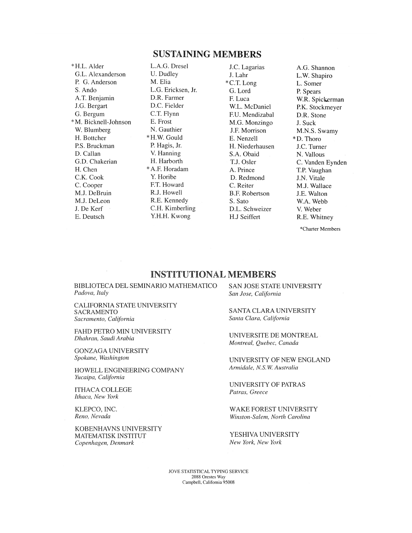## SUSTAINING MEMBERS

\*H.L. Alder G.L. Alexanderson P. G. Anderson S. Ando A.T. Benjamin J.G. Bergart G. Bergum \*M. Bicknell-Johnson W. Blumberg H. Bottcher P.S. Bruckman D. Callan G.D. Chakerian H. Chen C.K. Cook C. Cooper M.J. DeBruin M.J. DeLeon J. De Kerf E. Deutsch

L.A.G. Dresel U. Dudley M. Elia L.G. Ericksen, Jr. D.R. Farmer D.C. Fielder C.T. Flynn E. Frost N. Gauthier \* H.W.Gould P. Hagis, Jr. V. Hanning H. Harborth \*A.F. Horadam Y. Horibe F.T. Howard R.J. Howell R.E. Kennedy C.H. Kimberling Y.H.H. Kwong

J.C. Lagarias J. Lahr \*C.T. Long G. Lord F. Luca W.L. McDaniel F.U. Mendizabal M.G. Monzingo J.F. Morrison E. Nenzell H. Niederhausen S.A. Obaid T.J. Osier A. Prince D. Redmond C. Reiter B.F. Robertson S. Sato D.L. Schweizer H.J Seiffert

A.G. Shannon L.W. Shapiro L. Somer P. Spears W.R. Spickerman P.K. Stockmeyer D.R. Stone J. Suck M.N.S. Swamy \*D. Thoro J.C. Turner N. Vallous C. Vanden Eynden T.P. Vaughan J.N. Vitale M.J. Wallace J.E. Walton W.A. Webb V. Weber R.E. Whitney

\*Charter Members

## INSTITUTIONAL MEMBERS

BIBLIOTECA DEL SEMINARIO MATHEMATICO *Padova, Italy* 

CALIFORNIA STATE UNIVERSITY SACRAMENTO *Sacramento, California* 

FAHD PETRO MIN UNIVERSITY *Dhahran, Saudi Arabia* 

GONZAGA UNIVERSITY *Spokane, Washington* 

HOWELL ENGINEERING COMPANY *Yucaipa, California* 

ITHACA COLLEGE *Ithaca, New York* 

KLEPCO, INC. *Reno, Nevada* 

KOBENHAVNS UNIVERSITY MATEMATISK INSTITUT *Copenhagen, Denmark* 

SAN JOSE STATE UNIVERSITY *San Jose, California* 

SANTA CLARA UNIVERSITY *Santa Clara, California* 

UNIVERSITE DE MONTREAL *Montreal, Quebec, Canada* 

UNIVERSITY OF NEW ENGLAND *Armidale, N.S.W. Australia* 

UNIVERSITY OF PATRAS *Patras, Greece* 

WAKE FOREST UNIVERSITY *Winston-Salem, North Carolina* 

YESHIVA UNIVERSITY *New York, New York* 

JOVE STATISTICAL TYPING SERVICE 2088 Orestes Way Campbell, California 95008